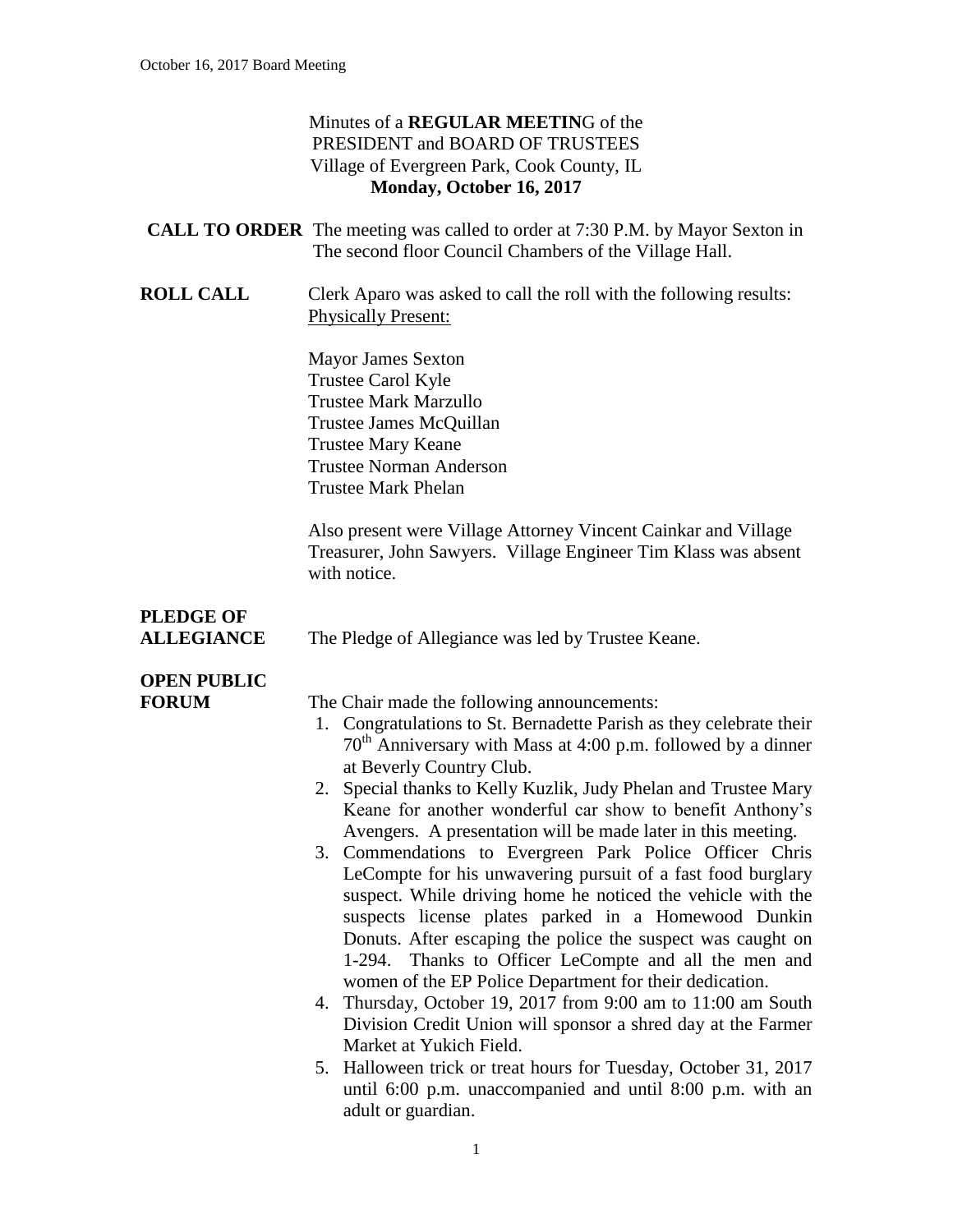### Minutes of a **REGULAR MEETIN**G of the PRESIDENT and BOARD OF TRUSTEES Village of Evergreen Park, Cook County, IL **Monday, October 16, 2017**

|            | <b>CALL TO ORDER</b> The meeting was called to order at 7:30 P.M. by Mayor Sexton in<br>The second floor Council Chambers of the Village Hall. |
|------------|------------------------------------------------------------------------------------------------------------------------------------------------|
| ROLL CALL. | Clerk Aparo was asked to call the roll with the following results:                                                                             |

**ROLL CALL** Clerk Aparo was asked to call the roll with the following results: Physically Present:

> Mayor James Sexton Trustee Carol Kyle Trustee Mark Marzullo Trustee James McQuillan Trustee Mary Keane Trustee Norman Anderson Trustee Mark Phelan

Also present were Village Attorney Vincent Cainkar and Village Treasurer, John Sawyers. Village Engineer Tim Klass was absent with notice.

# **PLEDGE OF**

**ALLEGIANCE** The Pledge of Allegiance was led by Trustee Keane.

## **OPEN PUBLIC**

**FORUM** The Chair made the following announcements:

- 1. Congratulations to St. Bernadette Parish as they celebrate their  $70<sup>th</sup>$  Anniversary with Mass at 4:00 p.m. followed by a dinner at Beverly Country Club.
- 2. Special thanks to Kelly Kuzlik, Judy Phelan and Trustee Mary Keane for another wonderful car show to benefit Anthony's Avengers. A presentation will be made later in this meeting.
- 3. Commendations to Evergreen Park Police Officer Chris LeCompte for his unwavering pursuit of a fast food burglary suspect. While driving home he noticed the vehicle with the suspects license plates parked in a Homewood Dunkin Donuts. After escaping the police the suspect was caught on 1-294. Thanks to Officer LeCompte and all the men and women of the EP Police Department for their dedication.
- 4. Thursday, October 19, 2017 from 9:00 am to 11:00 am South Division Credit Union will sponsor a shred day at the Farmer Market at Yukich Field.
- 5. Halloween trick or treat hours for Tuesday, October 31, 2017 until 6:00 p.m. unaccompanied and until 8:00 p.m. with an adult or guardian.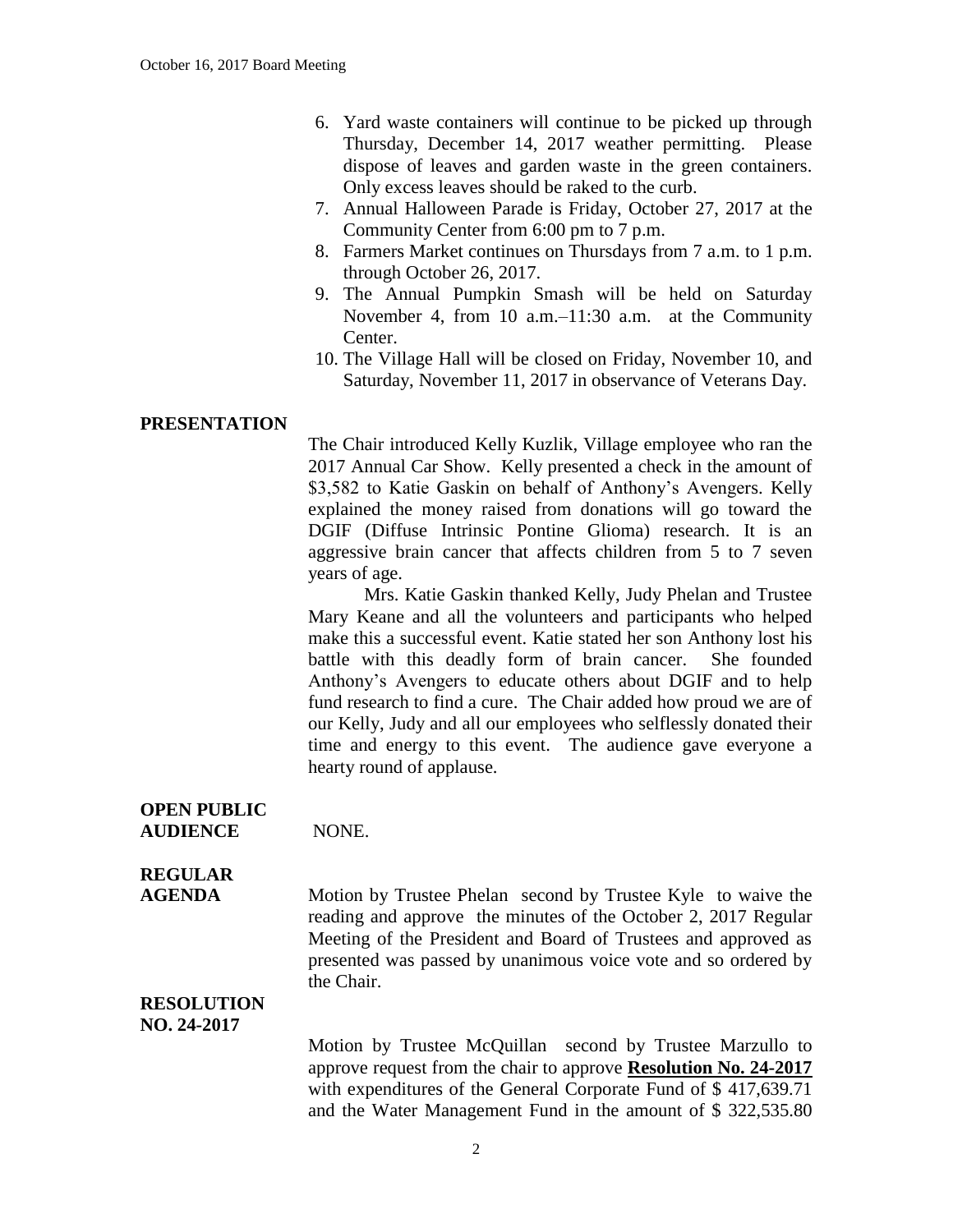- 6. Yard waste containers will continue to be picked up through Thursday, December 14, 2017 weather permitting. Please dispose of leaves and garden waste in the green containers. Only excess leaves should be raked to the curb.
- 7. Annual Halloween Parade is Friday, October 27, 2017 at the Community Center from 6:00 pm to 7 p.m.
- 8. Farmers Market continues on Thursdays from 7 a.m. to 1 p.m. through October 26, 2017.
- 9. The Annual Pumpkin Smash will be held on Saturday November 4, from 10 a.m.–11:30 a.m. at the Community Center.
- 10. The Village Hall will be closed on Friday, November 10, and Saturday, November 11, 2017 in observance of Veterans Day.

### **PRESENTATION**

The Chair introduced Kelly Kuzlik, Village employee who ran the 2017 Annual Car Show. Kelly presented a check in the amount of \$3,582 to Katie Gaskin on behalf of Anthony's Avengers. Kelly explained the money raised from donations will go toward the DGIF (Diffuse Intrinsic Pontine Glioma) research. It is an aggressive brain cancer that affects children from 5 to 7 seven years of age.

Mrs. Katie Gaskin thanked Kelly, Judy Phelan and Trustee Mary Keane and all the volunteers and participants who helped make this a successful event. Katie stated her son Anthony lost his battle with this deadly form of brain cancer. She founded Anthony's Avengers to educate others about DGIF and to help fund research to find a cure. The Chair added how proud we are of our Kelly, Judy and all our employees who selflessly donated their time and energy to this event. The audience gave everyone a hearty round of applause.

**OPEN PUBLIC**

**AUDIENCE** NONE.

### **REGULAR**

**AGENDA** Motion by Trustee Phelan second by Trustee Kyle to waive the reading and approve the minutes of the October 2, 2017 Regular Meeting of the President and Board of Trustees and approved as presented was passed by unanimous voice vote and so ordered by the Chair.

#### **RESOLUTION NO. 24-2017**

Motion by Trustee McQuillan second by Trustee Marzullo to approve request from the chair to approve **Resolution No. 24-2017** with expenditures of the General Corporate Fund of \$417,639.71 and the Water Management Fund in the amount of \$ 322,535.80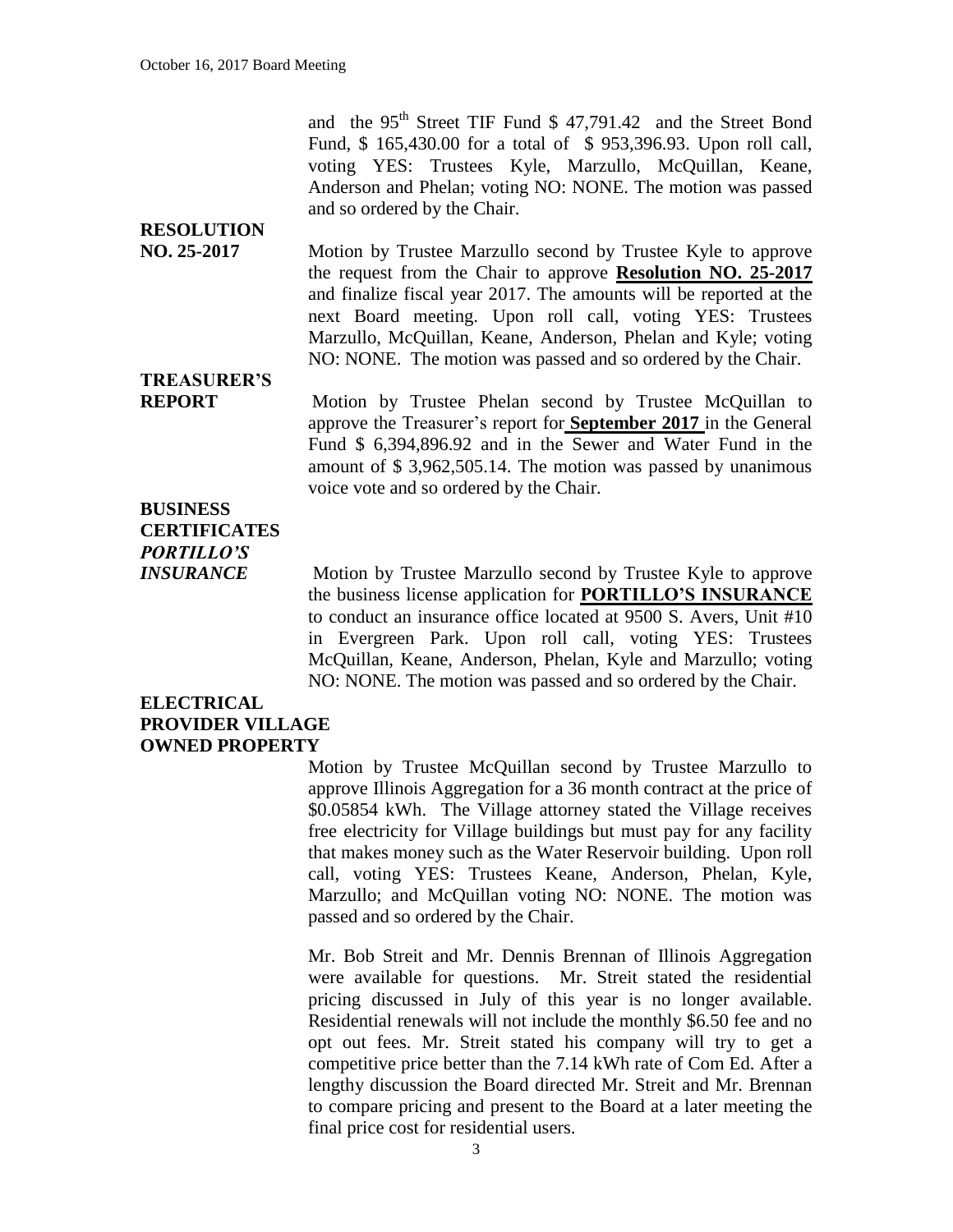and the 95<sup>th</sup> Street TIF Fund \$ 47,791.42 and the Street Bond Fund, \$ 165,430.00 for a total of \$ 953,396.93. Upon roll call, voting YES: Trustees Kyle, Marzullo, McQuillan, Keane, Anderson and Phelan; voting NO: NONE. The motion was passed and so ordered by the Chair.

## **RESOLUTION**

**NO. 25-2017** Motion by Trustee Marzullo second by Trustee Kyle to approve the request from the Chair to approve **Resolution NO. 25-2017** and finalize fiscal year 2017. The amounts will be reported at the next Board meeting. Upon roll call, voting YES: Trustees Marzullo, McQuillan, Keane, Anderson, Phelan and Kyle; voting NO: NONE. The motion was passed and so ordered by the Chair.

# **TREASURER'S**

**REPORT** Motion by Trustee Phelan second by Trustee McQuillan to approve the Treasurer's report for **September 2017** in the General Fund \$ 6,394,896.92 and in the Sewer and Water Fund in the amount of \$ 3,962,505.14. The motion was passed by unanimous voice vote and so ordered by the Chair.

### **BUSINESS CERTIFICATES** *PORTILLO'S*

*INSURANCE* Motion by Trustee Marzullo second by Trustee Kyle to approve the business license application for **PORTILLO'S INSURANCE** to conduct an insurance office located at 9500 S. Avers, Unit #10 in Evergreen Park. Upon roll call, voting YES: Trustees McQuillan, Keane, Anderson, Phelan, Kyle and Marzullo; voting NO: NONE. The motion was passed and so ordered by the Chair.

### **ELECTRICAL PROVIDER VILLAGE OWNED PROPERTY**

Motion by Trustee McQuillan second by Trustee Marzullo to approve Illinois Aggregation for a 36 month contract at the price of \$0.05854 kWh. The Village attorney stated the Village receives free electricity for Village buildings but must pay for any facility that makes money such as the Water Reservoir building. Upon roll call, voting YES: Trustees Keane, Anderson, Phelan, Kyle, Marzullo; and McQuillan voting NO: NONE. The motion was passed and so ordered by the Chair.

Mr. Bob Streit and Mr. Dennis Brennan of Illinois Aggregation were available for questions. Mr. Streit stated the residential pricing discussed in July of this year is no longer available. Residential renewals will not include the monthly \$6.50 fee and no opt out fees. Mr. Streit stated his company will try to get a competitive price better than the 7.14 kWh rate of Com Ed. After a lengthy discussion the Board directed Mr. Streit and Mr. Brennan to compare pricing and present to the Board at a later meeting the final price cost for residential users.